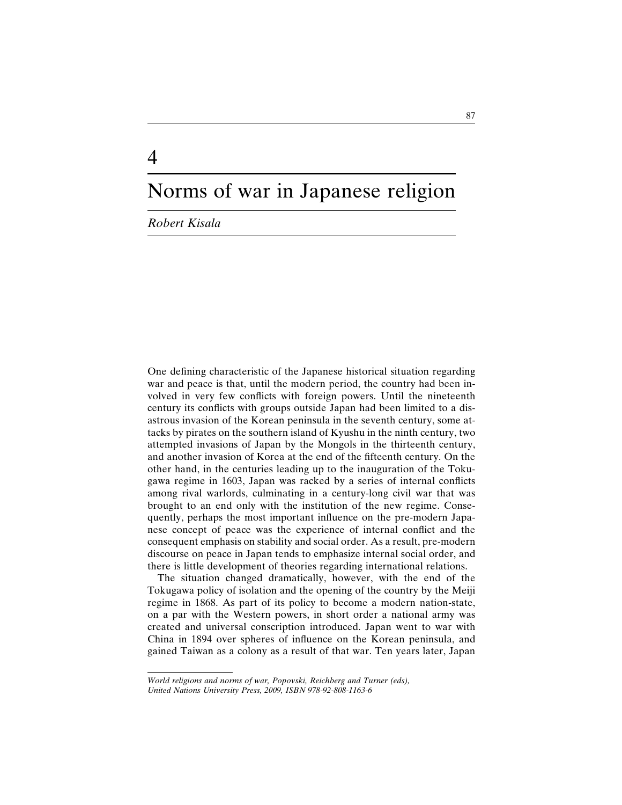# Norms of war in Japanese religion

Robert Kisala

4

One defining characteristic of the Japanese historical situation regarding war and peace is that, until the modern period, the country had been involved in very few conflicts with foreign powers. Until the nineteenth century its conflicts with groups outside Japan had been limited to a disastrous invasion of the Korean peninsula in the seventh century, some attacks by pirates on the southern island of Kyushu in the ninth century, two attempted invasions of Japan by the Mongols in the thirteenth century, and another invasion of Korea at the end of the fifteenth century. On the other hand, in the centuries leading up to the inauguration of the Tokugawa regime in 1603, Japan was racked by a series of internal conflicts among rival warlords, culminating in a century-long civil war that was brought to an end only with the institution of the new regime. Consequently, perhaps the most important influence on the pre-modern Japanese concept of peace was the experience of internal conflict and the consequent emphasis on stability and social order. As a result, pre-modern discourse on peace in Japan tends to emphasize internal social order, and there is little development of theories regarding international relations.

The situation changed dramatically, however, with the end of the Tokugawa policy of isolation and the opening of the country by the Meiji regime in 1868. As part of its policy to become a modern nation-state, on a par with the Western powers, in short order a national army was created and universal conscription introduced. Japan went to war with China in 1894 over spheres of influence on the Korean peninsula, and gained Taiwan as a colony as a result of that war. Ten years later, Japan

World religions and norms of war, Popovski, Reichberg and Turner (eds), United Nations University Press, 2009, ISBN 978-92-808-1163-6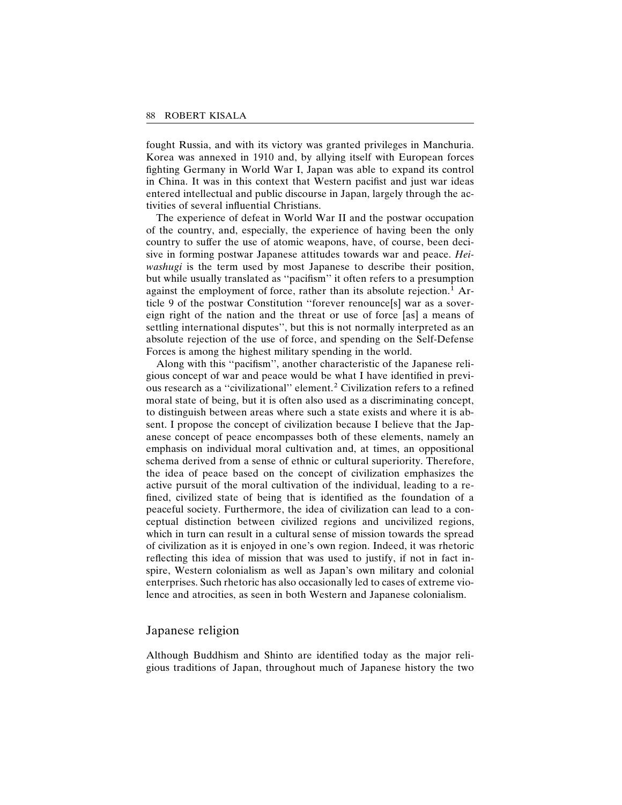fought Russia, and with its victory was granted privileges in Manchuria. Korea was annexed in 1910 and, by allying itself with European forces fighting Germany in World War I, Japan was able to expand its control in China. It was in this context that Western pacifist and just war ideas entered intellectual and public discourse in Japan, largely through the activities of several influential Christians.

The experience of defeat in World War II and the postwar occupation of the country, and, especially, the experience of having been the only country to suffer the use of atomic weapons, have, of course, been decisive in forming postwar Japanese attitudes towards war and peace. Heiwashugi is the term used by most Japanese to describe their position, but while usually translated as ''pacifism'' it often refers to a presumption against the employment of force, rather than its absolute rejection.<sup>1</sup> Article 9 of the postwar Constitution ''forever renounce[s] war as a sovereign right of the nation and the threat or use of force [as] a means of settling international disputes'', but this is not normally interpreted as an absolute rejection of the use of force, and spending on the Self-Defense Forces is among the highest military spending in the world.

Along with this ''pacifism'', another characteristic of the Japanese religious concept of war and peace would be what I have identified in previous research as a ''civilizational'' element.2 Civilization refers to a refined moral state of being, but it is often also used as a discriminating concept, to distinguish between areas where such a state exists and where it is absent. I propose the concept of civilization because I believe that the Japanese concept of peace encompasses both of these elements, namely an emphasis on individual moral cultivation and, at times, an oppositional schema derived from a sense of ethnic or cultural superiority. Therefore, the idea of peace based on the concept of civilization emphasizes the active pursuit of the moral cultivation of the individual, leading to a refined, civilized state of being that is identified as the foundation of a peaceful society. Furthermore, the idea of civilization can lead to a conceptual distinction between civilized regions and uncivilized regions, which in turn can result in a cultural sense of mission towards the spread of civilization as it is enjoyed in one's own region. Indeed, it was rhetoric reflecting this idea of mission that was used to justify, if not in fact inspire, Western colonialism as well as Japan's own military and colonial enterprises. Such rhetoric has also occasionally led to cases of extreme violence and atrocities, as seen in both Western and Japanese colonialism.

#### Japanese religion

Although Buddhism and Shinto are identified today as the major religious traditions of Japan, throughout much of Japanese history the two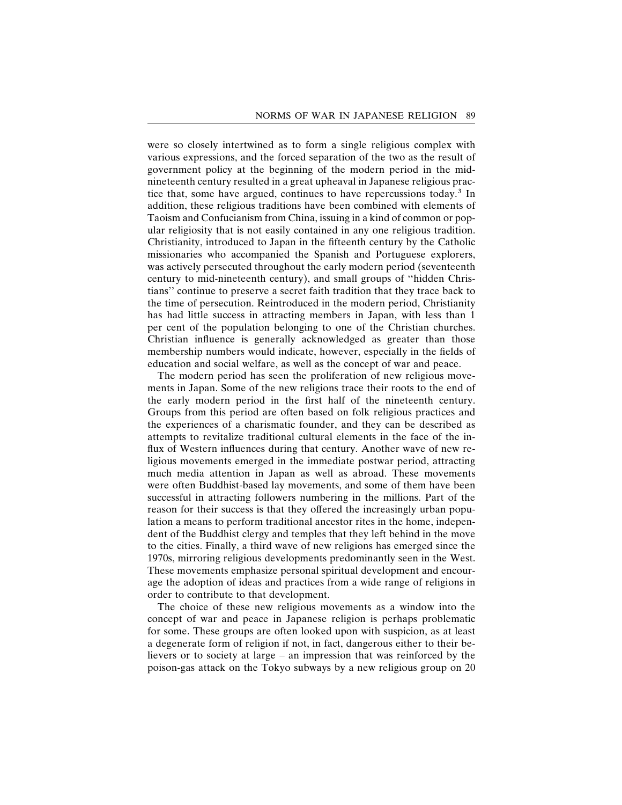were so closely intertwined as to form a single religious complex with various expressions, and the forced separation of the two as the result of government policy at the beginning of the modern period in the midnineteenth century resulted in a great upheaval in Japanese religious practice that, some have argued, continues to have repercussions today.<sup>3</sup> In addition, these religious traditions have been combined with elements of Taoism and Confucianism from China, issuing in a kind of common or popular religiosity that is not easily contained in any one religious tradition. Christianity, introduced to Japan in the fifteenth century by the Catholic missionaries who accompanied the Spanish and Portuguese explorers, was actively persecuted throughout the early modern period (seventeenth century to mid-nineteenth century), and small groups of ''hidden Christians'' continue to preserve a secret faith tradition that they trace back to the time of persecution. Reintroduced in the modern period, Christianity has had little success in attracting members in Japan, with less than 1 per cent of the population belonging to one of the Christian churches. Christian influence is generally acknowledged as greater than those membership numbers would indicate, however, especially in the fields of education and social welfare, as well as the concept of war and peace.

The modern period has seen the proliferation of new religious movements in Japan. Some of the new religions trace their roots to the end of the early modern period in the first half of the nineteenth century. Groups from this period are often based on folk religious practices and the experiences of a charismatic founder, and they can be described as attempts to revitalize traditional cultural elements in the face of the influx of Western influences during that century. Another wave of new religious movements emerged in the immediate postwar period, attracting much media attention in Japan as well as abroad. These movements were often Buddhist-based lay movements, and some of them have been successful in attracting followers numbering in the millions. Part of the reason for their success is that they offered the increasingly urban population a means to perform traditional ancestor rites in the home, independent of the Buddhist clergy and temples that they left behind in the move to the cities. Finally, a third wave of new religions has emerged since the 1970s, mirroring religious developments predominantly seen in the West. These movements emphasize personal spiritual development and encourage the adoption of ideas and practices from a wide range of religions in order to contribute to that development.

The choice of these new religious movements as a window into the concept of war and peace in Japanese religion is perhaps problematic for some. These groups are often looked upon with suspicion, as at least a degenerate form of religion if not, in fact, dangerous either to their believers or to society at large – an impression that was reinforced by the poison-gas attack on the Tokyo subways by a new religious group on 20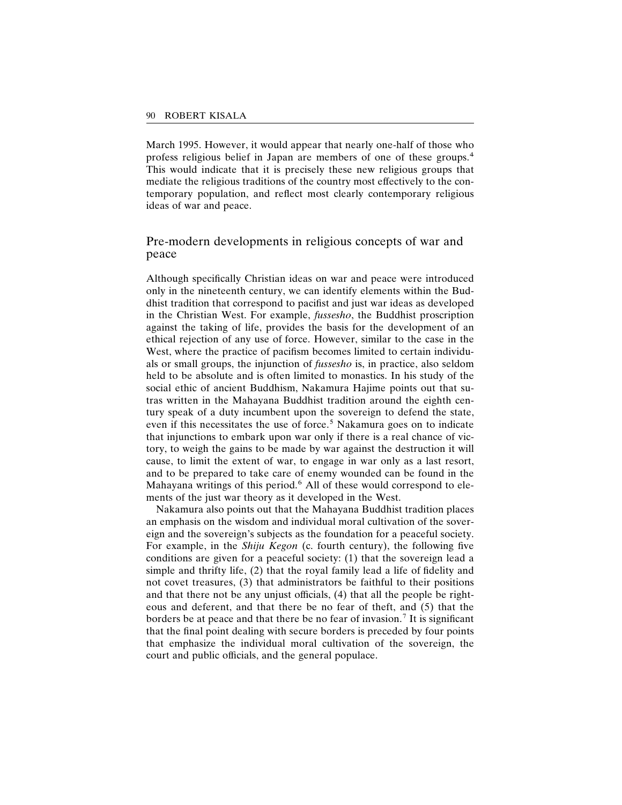March 1995. However, it would appear that nearly one-half of those who profess religious belief in Japan are members of one of these groups.4 This would indicate that it is precisely these new religious groups that mediate the religious traditions of the country most effectively to the contemporary population, and reflect most clearly contemporary religious ideas of war and peace.

# Pre-modern developments in religious concepts of war and peace

Although specifically Christian ideas on war and peace were introduced only in the nineteenth century, we can identify elements within the Buddhist tradition that correspond to pacifist and just war ideas as developed in the Christian West. For example, fussesho, the Buddhist proscription against the taking of life, provides the basis for the development of an ethical rejection of any use of force. However, similar to the case in the West, where the practice of pacifism becomes limited to certain individuals or small groups, the injunction of fussesho is, in practice, also seldom held to be absolute and is often limited to monastics. In his study of the social ethic of ancient Buddhism, Nakamura Hajime points out that sutras written in the Mahayana Buddhist tradition around the eighth century speak of a duty incumbent upon the sovereign to defend the state, even if this necessitates the use of force.<sup>5</sup> Nakamura goes on to indicate that injunctions to embark upon war only if there is a real chance of victory, to weigh the gains to be made by war against the destruction it will cause, to limit the extent of war, to engage in war only as a last resort, and to be prepared to take care of enemy wounded can be found in the Mahayana writings of this period.<sup>6</sup> All of these would correspond to elements of the just war theory as it developed in the West.

Nakamura also points out that the Mahayana Buddhist tradition places an emphasis on the wisdom and individual moral cultivation of the sovereign and the sovereign's subjects as the foundation for a peaceful society. For example, in the Shiju Kegon (c. fourth century), the following five conditions are given for a peaceful society: (1) that the sovereign lead a simple and thrifty life, (2) that the royal family lead a life of fidelity and not covet treasures, (3) that administrators be faithful to their positions and that there not be any unjust officials, (4) that all the people be righteous and deferent, and that there be no fear of theft, and (5) that the borders be at peace and that there be no fear of invasion.<sup>7</sup> It is significant that the final point dealing with secure borders is preceded by four points that emphasize the individual moral cultivation of the sovereign, the court and public officials, and the general populace.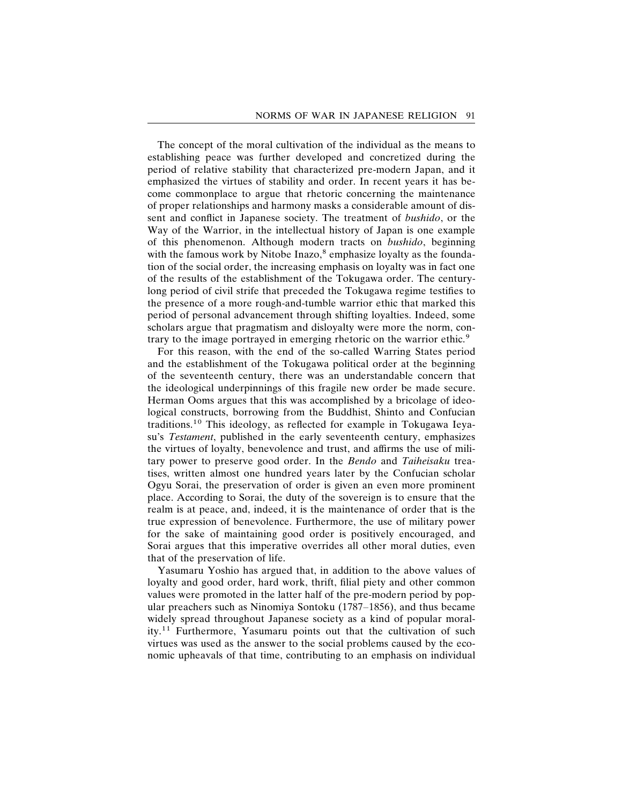The concept of the moral cultivation of the individual as the means to establishing peace was further developed and concretized during the period of relative stability that characterized pre-modern Japan, and it emphasized the virtues of stability and order. In recent years it has become commonplace to argue that rhetoric concerning the maintenance of proper relationships and harmony masks a considerable amount of dissent and conflict in Japanese society. The treatment of bushido, or the Way of the Warrior, in the intellectual history of Japan is one example of this phenomenon. Although modern tracts on bushido, beginning with the famous work by Nitobe Inazo, $<sup>8</sup>$  emphasize loyalty as the founda-</sup> tion of the social order, the increasing emphasis on loyalty was in fact one of the results of the establishment of the Tokugawa order. The centurylong period of civil strife that preceded the Tokugawa regime testifies to the presence of a more rough-and-tumble warrior ethic that marked this period of personal advancement through shifting loyalties. Indeed, some scholars argue that pragmatism and disloyalty were more the norm, contrary to the image portrayed in emerging rhetoric on the warrior ethic.<sup>9</sup>

For this reason, with the end of the so-called Warring States period and the establishment of the Tokugawa political order at the beginning of the seventeenth century, there was an understandable concern that the ideological underpinnings of this fragile new order be made secure. Herman Ooms argues that this was accomplished by a bricolage of ideological constructs, borrowing from the Buddhist, Shinto and Confucian traditions.10 This ideology, as reflected for example in Tokugawa Ieyasu's Testament, published in the early seventeenth century, emphasizes the virtues of loyalty, benevolence and trust, and affirms the use of military power to preserve good order. In the Bendo and Taiheisaku treatises, written almost one hundred years later by the Confucian scholar Ogyu Sorai, the preservation of order is given an even more prominent place. According to Sorai, the duty of the sovereign is to ensure that the realm is at peace, and, indeed, it is the maintenance of order that is the true expression of benevolence. Furthermore, the use of military power for the sake of maintaining good order is positively encouraged, and Sorai argues that this imperative overrides all other moral duties, even that of the preservation of life.

Yasumaru Yoshio has argued that, in addition to the above values of loyalty and good order, hard work, thrift, filial piety and other common values were promoted in the latter half of the pre-modern period by popular preachers such as Ninomiya Sontoku (1787–1856), and thus became widely spread throughout Japanese society as a kind of popular morality.11 Furthermore, Yasumaru points out that the cultivation of such virtues was used as the answer to the social problems caused by the economic upheavals of that time, contributing to an emphasis on individual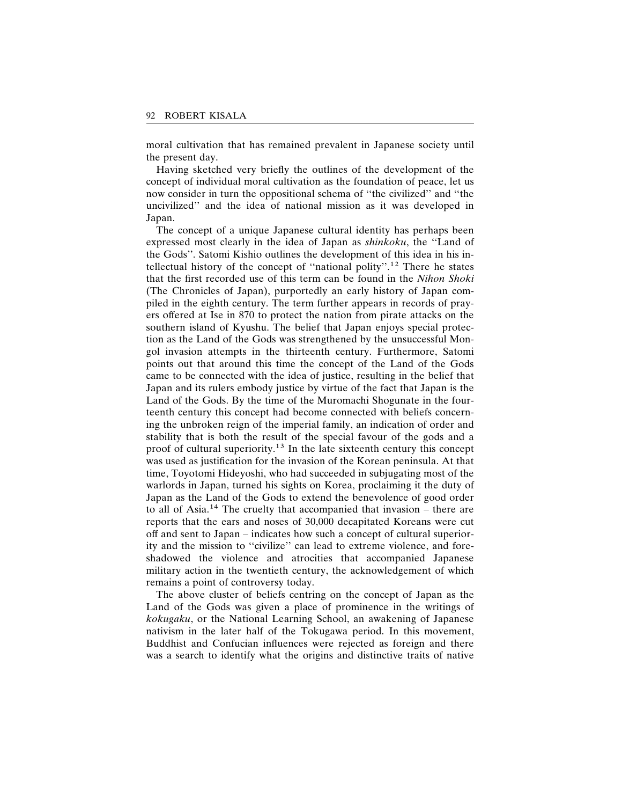moral cultivation that has remained prevalent in Japanese society until the present day.

Having sketched very briefly the outlines of the development of the concept of individual moral cultivation as the foundation of peace, let us now consider in turn the oppositional schema of ''the civilized'' and ''the uncivilized'' and the idea of national mission as it was developed in Japan.

The concept of a unique Japanese cultural identity has perhaps been expressed most clearly in the idea of Japan as shinkoku, the ''Land of the Gods''. Satomi Kishio outlines the development of this idea in his intellectual history of the concept of "national polity".<sup>12</sup> There he states that the first recorded use of this term can be found in the Nihon Shoki (The Chronicles of Japan), purportedly an early history of Japan compiled in the eighth century. The term further appears in records of prayers offered at Ise in 870 to protect the nation from pirate attacks on the southern island of Kyushu. The belief that Japan enjoys special protection as the Land of the Gods was strengthened by the unsuccessful Mongol invasion attempts in the thirteenth century. Furthermore, Satomi points out that around this time the concept of the Land of the Gods came to be connected with the idea of justice, resulting in the belief that Japan and its rulers embody justice by virtue of the fact that Japan is the Land of the Gods. By the time of the Muromachi Shogunate in the fourteenth century this concept had become connected with beliefs concerning the unbroken reign of the imperial family, an indication of order and stability that is both the result of the special favour of the gods and a proof of cultural superiority.<sup>13</sup> In the late sixteenth century this concept was used as justification for the invasion of the Korean peninsula. At that time, Toyotomi Hideyoshi, who had succeeded in subjugating most of the warlords in Japan, turned his sights on Korea, proclaiming it the duty of Japan as the Land of the Gods to extend the benevolence of good order to all of Asia.<sup>14</sup> The cruelty that accompanied that invasion – there are reports that the ears and noses of 30,000 decapitated Koreans were cut off and sent to Japan – indicates how such a concept of cultural superiority and the mission to ''civilize'' can lead to extreme violence, and foreshadowed the violence and atrocities that accompanied Japanese military action in the twentieth century, the acknowledgement of which remains a point of controversy today.

The above cluster of beliefs centring on the concept of Japan as the Land of the Gods was given a place of prominence in the writings of kokugaku, or the National Learning School, an awakening of Japanese nativism in the later half of the Tokugawa period. In this movement, Buddhist and Confucian influences were rejected as foreign and there was a search to identify what the origins and distinctive traits of native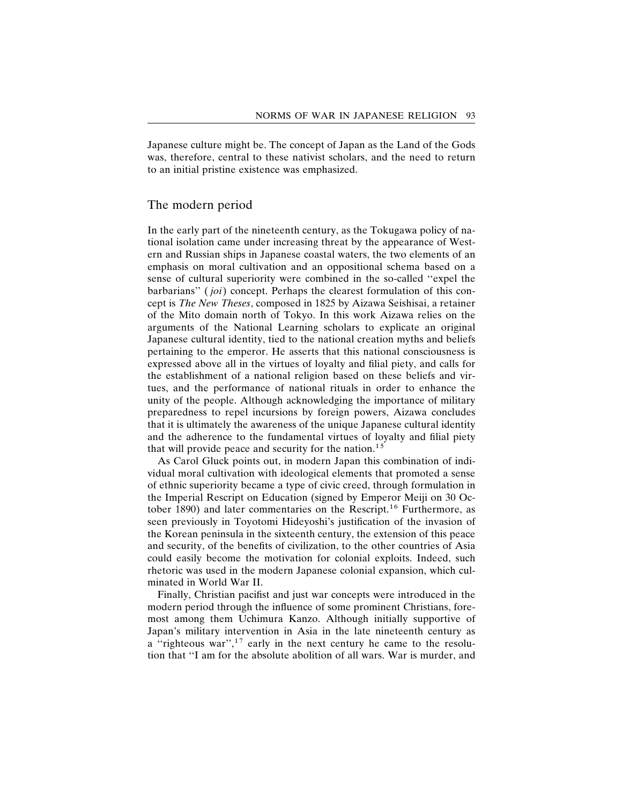Japanese culture might be. The concept of Japan as the Land of the Gods was, therefore, central to these nativist scholars, and the need to return to an initial pristine existence was emphasized.

## The modern period

In the early part of the nineteenth century, as the Tokugawa policy of national isolation came under increasing threat by the appearance of Western and Russian ships in Japanese coastal waters, the two elements of an emphasis on moral cultivation and an oppositional schema based on a sense of cultural superiority were combined in the so-called ''expel the barbarians" (*joi*) concept. Perhaps the clearest formulation of this concept is The New Theses, composed in 1825 by Aizawa Seishisai, a retainer of the Mito domain north of Tokyo. In this work Aizawa relies on the arguments of the National Learning scholars to explicate an original Japanese cultural identity, tied to the national creation myths and beliefs pertaining to the emperor. He asserts that this national consciousness is expressed above all in the virtues of loyalty and filial piety, and calls for the establishment of a national religion based on these beliefs and virtues, and the performance of national rituals in order to enhance the unity of the people. Although acknowledging the importance of military preparedness to repel incursions by foreign powers, Aizawa concludes that it is ultimately the awareness of the unique Japanese cultural identity and the adherence to the fundamental virtues of loyalty and filial piety that will provide peace and security for the nation.15

As Carol Gluck points out, in modern Japan this combination of individual moral cultivation with ideological elements that promoted a sense of ethnic superiority became a type of civic creed, through formulation in the Imperial Rescript on Education (signed by Emperor Meiji on 30 October 1890) and later commentaries on the Rescript.<sup>16</sup> Furthermore, as seen previously in Toyotomi Hideyoshi's justification of the invasion of the Korean peninsula in the sixteenth century, the extension of this peace and security, of the benefits of civilization, to the other countries of Asia could easily become the motivation for colonial exploits. Indeed, such rhetoric was used in the modern Japanese colonial expansion, which culminated in World War II.

Finally, Christian pacifist and just war concepts were introduced in the modern period through the influence of some prominent Christians, foremost among them Uchimura Kanzo. Although initially supportive of Japan's military intervention in Asia in the late nineteenth century as a "righteous war",<sup>17</sup> early in the next century he came to the resolution that ''I am for the absolute abolition of all wars. War is murder, and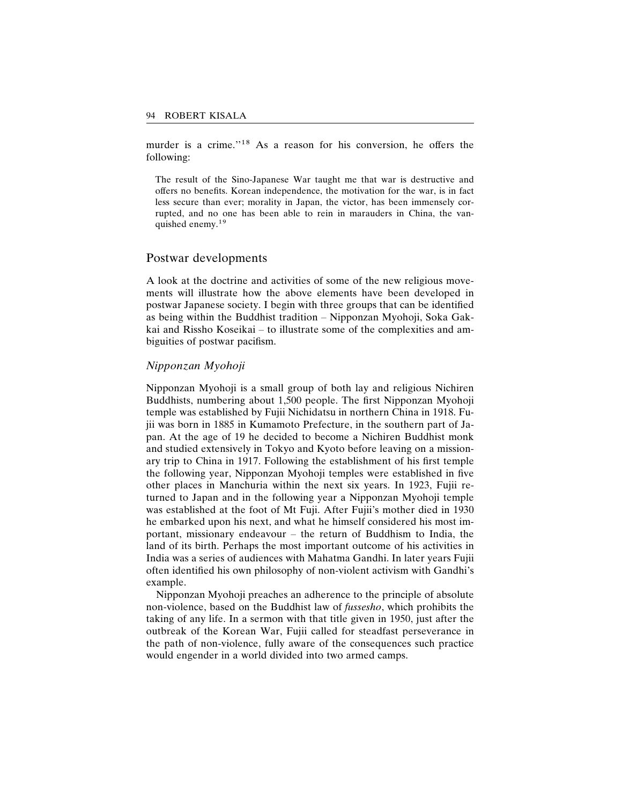murder is a crime."<sup>18</sup> As a reason for his conversion, he offers the following:

The result of the Sino-Japanese War taught me that war is destructive and offers no benefits. Korean independence, the motivation for the war, is in fact less secure than ever; morality in Japan, the victor, has been immensely corrupted, and no one has been able to rein in marauders in China, the vanquished enemy.19

### Postwar developments

A look at the doctrine and activities of some of the new religious movements will illustrate how the above elements have been developed in postwar Japanese society. I begin with three groups that can be identified as being within the Buddhist tradition – Nipponzan Myohoji, Soka Gakkai and Rissho Koseikai – to illustrate some of the complexities and ambiguities of postwar pacifism.

## Nipponzan Myohoji

Nipponzan Myohoji is a small group of both lay and religious Nichiren Buddhists, numbering about 1,500 people. The first Nipponzan Myohoji temple was established by Fujii Nichidatsu in northern China in 1918. Fujii was born in 1885 in Kumamoto Prefecture, in the southern part of Japan. At the age of 19 he decided to become a Nichiren Buddhist monk and studied extensively in Tokyo and Kyoto before leaving on a missionary trip to China in 1917. Following the establishment of his first temple the following year, Nipponzan Myohoji temples were established in five other places in Manchuria within the next six years. In 1923, Fujii returned to Japan and in the following year a Nipponzan Myohoji temple was established at the foot of Mt Fuji. After Fujii's mother died in 1930 he embarked upon his next, and what he himself considered his most important, missionary endeavour – the return of Buddhism to India, the land of its birth. Perhaps the most important outcome of his activities in India was a series of audiences with Mahatma Gandhi. In later years Fujii often identified his own philosophy of non-violent activism with Gandhi's example.

Nipponzan Myohoji preaches an adherence to the principle of absolute non-violence, based on the Buddhist law of fussesho, which prohibits the taking of any life. In a sermon with that title given in 1950, just after the outbreak of the Korean War, Fujii called for steadfast perseverance in the path of non-violence, fully aware of the consequences such practice would engender in a world divided into two armed camps.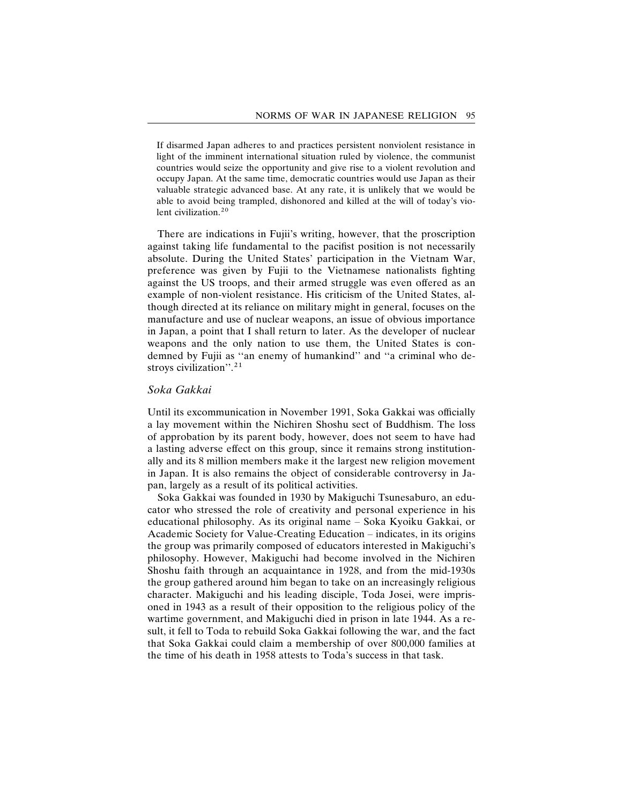If disarmed Japan adheres to and practices persistent nonviolent resistance in light of the imminent international situation ruled by violence, the communist countries would seize the opportunity and give rise to a violent revolution and occupy Japan. At the same time, democratic countries would use Japan as their valuable strategic advanced base. At any rate, it is unlikely that we would be able to avoid being trampled, dishonored and killed at the will of today's violent civilization.<sup>20</sup>

There are indications in Fujii's writing, however, that the proscription against taking life fundamental to the pacifist position is not necessarily absolute. During the United States' participation in the Vietnam War, preference was given by Fujii to the Vietnamese nationalists fighting against the US troops, and their armed struggle was even offered as an example of non-violent resistance. His criticism of the United States, although directed at its reliance on military might in general, focuses on the manufacture and use of nuclear weapons, an issue of obvious importance in Japan, a point that I shall return to later. As the developer of nuclear weapons and the only nation to use them, the United States is condemned by Fujii as ''an enemy of humankind'' and ''a criminal who destroys civilization".<sup>21</sup>

#### Soka Gakkai

Until its excommunication in November 1991, Soka Gakkai was officially a lay movement within the Nichiren Shoshu sect of Buddhism. The loss of approbation by its parent body, however, does not seem to have had a lasting adverse effect on this group, since it remains strong institutionally and its 8 million members make it the largest new religion movement in Japan. It is also remains the object of considerable controversy in Japan, largely as a result of its political activities.

Soka Gakkai was founded in 1930 by Makiguchi Tsunesaburo, an educator who stressed the role of creativity and personal experience in his educational philosophy. As its original name – Soka Kyoiku Gakkai, or Academic Society for Value-Creating Education – indicates, in its origins the group was primarily composed of educators interested in Makiguchi's philosophy. However, Makiguchi had become involved in the Nichiren Shoshu faith through an acquaintance in 1928, and from the mid-1930s the group gathered around him began to take on an increasingly religious character. Makiguchi and his leading disciple, Toda Josei, were imprisoned in 1943 as a result of their opposition to the religious policy of the wartime government, and Makiguchi died in prison in late 1944. As a result, it fell to Toda to rebuild Soka Gakkai following the war, and the fact that Soka Gakkai could claim a membership of over 800,000 families at the time of his death in 1958 attests to Toda's success in that task.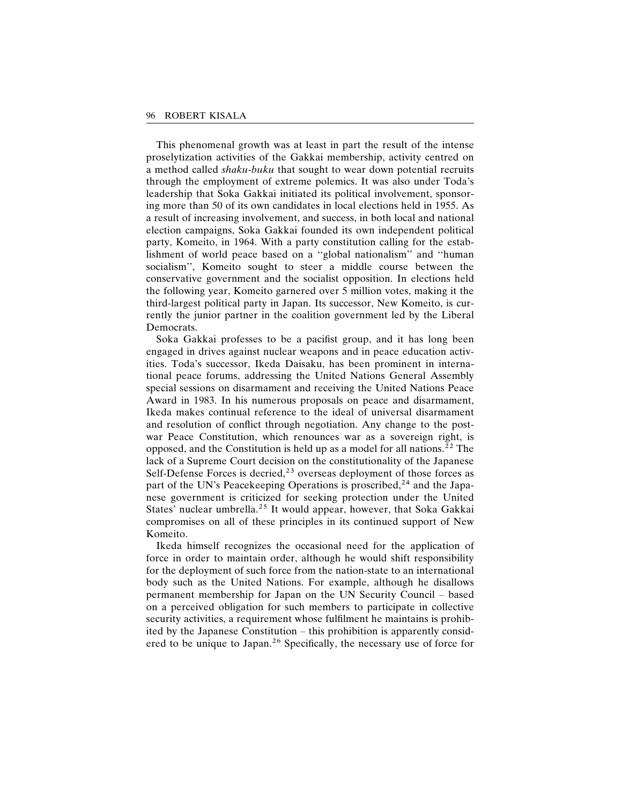This phenomenal growth was at least in part the result of the intense proselytization activities of the Gakkai membership, activity centred on a method called shaku-buku that sought to wear down potential recruits through the employment of extreme polemics. It was also under Toda's leadership that Soka Gakkai initiated its political involvement, sponsoring more than 50 of its own candidates in local elections held in 1955. As a result of increasing involvement, and success, in both local and national election campaigns, Soka Gakkai founded its own independent political party, Komeito, in 1964. With a party constitution calling for the establishment of world peace based on a ''global nationalism'' and ''human socialism'', Komeito sought to steer a middle course between the conservative government and the socialist opposition. In elections held the following year, Komeito garnered over 5 million votes, making it the third-largest political party in Japan. Its successor, New Komeito, is currently the junior partner in the coalition government led by the Liberal Democrats.

Soka Gakkai professes to be a pacifist group, and it has long been engaged in drives against nuclear weapons and in peace education activities. Toda's successor, Ikeda Daisaku, has been prominent in international peace forums, addressing the United Nations General Assembly special sessions on disarmament and receiving the United Nations Peace Award in 1983. In his numerous proposals on peace and disarmament, Ikeda makes continual reference to the ideal of universal disarmament and resolution of conflict through negotiation. Any change to the postwar Peace Constitution, which renounces war as a sovereign right, is opposed, and the Constitution is held up as a model for all nations.<sup>22</sup> The lack of a Supreme Court decision on the constitutionality of the Japanese Self-Defense Forces is decried,<sup>23</sup> overseas deployment of those forces as part of the UN's Peacekeeping Operations is proscribed,  $24$  and the Japanese government is criticized for seeking protection under the United States' nuclear umbrella.<sup>25</sup> It would appear, however, that Soka Gakkai compromises on all of these principles in its continued support of New Komeito.

Ikeda himself recognizes the occasional need for the application of force in order to maintain order, although he would shift responsibility for the deployment of such force from the nation-state to an international body such as the United Nations. For example, although he disallows permanent membership for Japan on the UN Security Council – based on a perceived obligation for such members to participate in collective security activities, a requirement whose fulfilment he maintains is prohibited by the Japanese Constitution – this prohibition is apparently considered to be unique to Japan.<sup>26</sup> Specifically, the necessary use of force for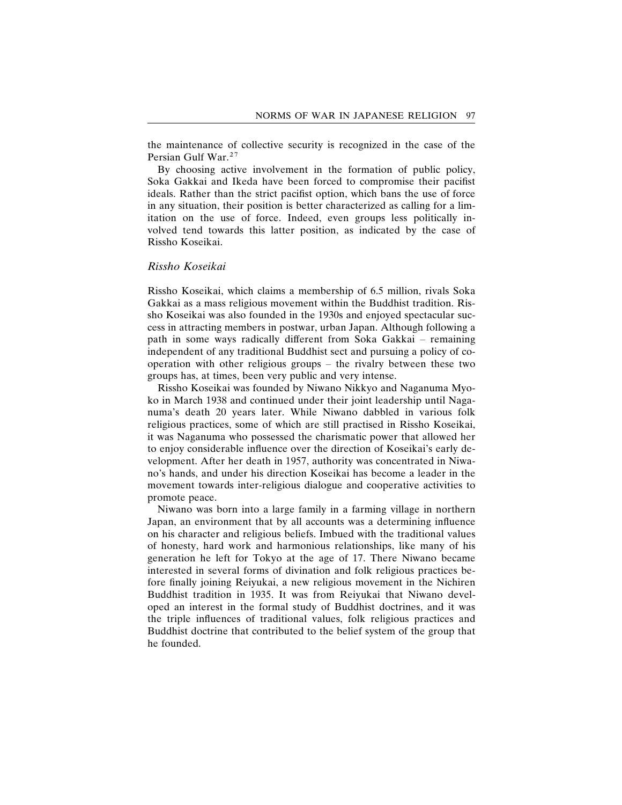the maintenance of collective security is recognized in the case of the Persian Gulf War.<sup>27</sup>

By choosing active involvement in the formation of public policy, Soka Gakkai and Ikeda have been forced to compromise their pacifist ideals. Rather than the strict pacifist option, which bans the use of force in any situation, their position is better characterized as calling for a limitation on the use of force. Indeed, even groups less politically involved tend towards this latter position, as indicated by the case of Rissho Koseikai.

#### Rissho Koseikai

Rissho Koseikai, which claims a membership of 6.5 million, rivals Soka Gakkai as a mass religious movement within the Buddhist tradition. Rissho Koseikai was also founded in the 1930s and enjoyed spectacular success in attracting members in postwar, urban Japan. Although following a path in some ways radically different from Soka Gakkai – remaining independent of any traditional Buddhist sect and pursuing a policy of cooperation with other religious groups – the rivalry between these two groups has, at times, been very public and very intense.

Rissho Koseikai was founded by Niwano Nikkyo and Naganuma Myoko in March 1938 and continued under their joint leadership until Naganuma's death 20 years later. While Niwano dabbled in various folk religious practices, some of which are still practised in Rissho Koseikai, it was Naganuma who possessed the charismatic power that allowed her to enjoy considerable influence over the direction of Koseikai's early development. After her death in 1957, authority was concentrated in Niwano's hands, and under his direction Koseikai has become a leader in the movement towards inter-religious dialogue and cooperative activities to promote peace.

Niwano was born into a large family in a farming village in northern Japan, an environment that by all accounts was a determining influence on his character and religious beliefs. Imbued with the traditional values of honesty, hard work and harmonious relationships, like many of his generation he left for Tokyo at the age of 17. There Niwano became interested in several forms of divination and folk religious practices before finally joining Reiyukai, a new religious movement in the Nichiren Buddhist tradition in 1935. It was from Reiyukai that Niwano developed an interest in the formal study of Buddhist doctrines, and it was the triple influences of traditional values, folk religious practices and Buddhist doctrine that contributed to the belief system of the group that he founded.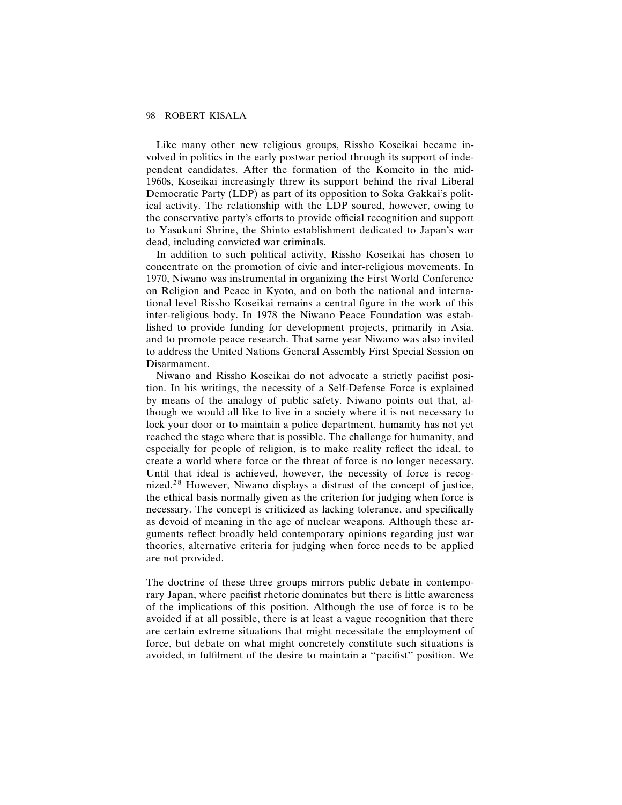Like many other new religious groups, Rissho Koseikai became involved in politics in the early postwar period through its support of independent candidates. After the formation of the Komeito in the mid-1960s, Koseikai increasingly threw its support behind the rival Liberal Democratic Party (LDP) as part of its opposition to Soka Gakkai's political activity. The relationship with the LDP soured, however, owing to the conservative party's efforts to provide official recognition and support to Yasukuni Shrine, the Shinto establishment dedicated to Japan's war dead, including convicted war criminals.

In addition to such political activity, Rissho Koseikai has chosen to concentrate on the promotion of civic and inter-religious movements. In 1970, Niwano was instrumental in organizing the First World Conference on Religion and Peace in Kyoto, and on both the national and international level Rissho Koseikai remains a central figure in the work of this inter-religious body. In 1978 the Niwano Peace Foundation was established to provide funding for development projects, primarily in Asia, and to promote peace research. That same year Niwano was also invited to address the United Nations General Assembly First Special Session on Disarmament.

Niwano and Rissho Koseikai do not advocate a strictly pacifist position. In his writings, the necessity of a Self-Defense Force is explained by means of the analogy of public safety. Niwano points out that, although we would all like to live in a society where it is not necessary to lock your door or to maintain a police department, humanity has not yet reached the stage where that is possible. The challenge for humanity, and especially for people of religion, is to make reality reflect the ideal, to create a world where force or the threat of force is no longer necessary. Until that ideal is achieved, however, the necessity of force is recognized.28 However, Niwano displays a distrust of the concept of justice, the ethical basis normally given as the criterion for judging when force is necessary. The concept is criticized as lacking tolerance, and specifically as devoid of meaning in the age of nuclear weapons. Although these arguments reflect broadly held contemporary opinions regarding just war theories, alternative criteria for judging when force needs to be applied are not provided.

The doctrine of these three groups mirrors public debate in contemporary Japan, where pacifist rhetoric dominates but there is little awareness of the implications of this position. Although the use of force is to be avoided if at all possible, there is at least a vague recognition that there are certain extreme situations that might necessitate the employment of force, but debate on what might concretely constitute such situations is avoided, in fulfilment of the desire to maintain a ''pacifist'' position. We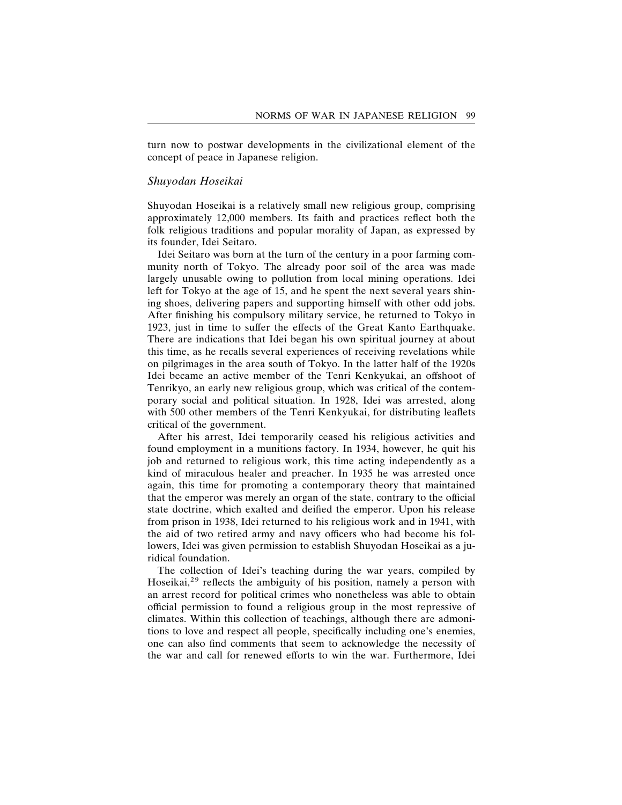turn now to postwar developments in the civilizational element of the concept of peace in Japanese religion.

## Shuyodan Hoseikai

Shuyodan Hoseikai is a relatively small new religious group, comprising approximately 12,000 members. Its faith and practices reflect both the folk religious traditions and popular morality of Japan, as expressed by its founder, Idei Seitaro.

Idei Seitaro was born at the turn of the century in a poor farming community north of Tokyo. The already poor soil of the area was made largely unusable owing to pollution from local mining operations. Idei left for Tokyo at the age of 15, and he spent the next several years shining shoes, delivering papers and supporting himself with other odd jobs. After finishing his compulsory military service, he returned to Tokyo in 1923, just in time to suffer the effects of the Great Kanto Earthquake. There are indications that Idei began his own spiritual journey at about this time, as he recalls several experiences of receiving revelations while on pilgrimages in the area south of Tokyo. In the latter half of the 1920s Idei became an active member of the Tenri Kenkyukai, an offshoot of Tenrikyo, an early new religious group, which was critical of the contemporary social and political situation. In 1928, Idei was arrested, along with 500 other members of the Tenri Kenkyukai, for distributing leaflets critical of the government.

After his arrest, Idei temporarily ceased his religious activities and found employment in a munitions factory. In 1934, however, he quit his job and returned to religious work, this time acting independently as a kind of miraculous healer and preacher. In 1935 he was arrested once again, this time for promoting a contemporary theory that maintained that the emperor was merely an organ of the state, contrary to the official state doctrine, which exalted and deified the emperor. Upon his release from prison in 1938, Idei returned to his religious work and in 1941, with the aid of two retired army and navy officers who had become his followers, Idei was given permission to establish Shuyodan Hoseikai as a juridical foundation.

The collection of Idei's teaching during the war years, compiled by Hoseikai,<sup>29</sup> reflects the ambiguity of his position, namely a person with an arrest record for political crimes who nonetheless was able to obtain official permission to found a religious group in the most repressive of climates. Within this collection of teachings, although there are admonitions to love and respect all people, specifically including one's enemies, one can also find comments that seem to acknowledge the necessity of the war and call for renewed efforts to win the war. Furthermore, Idei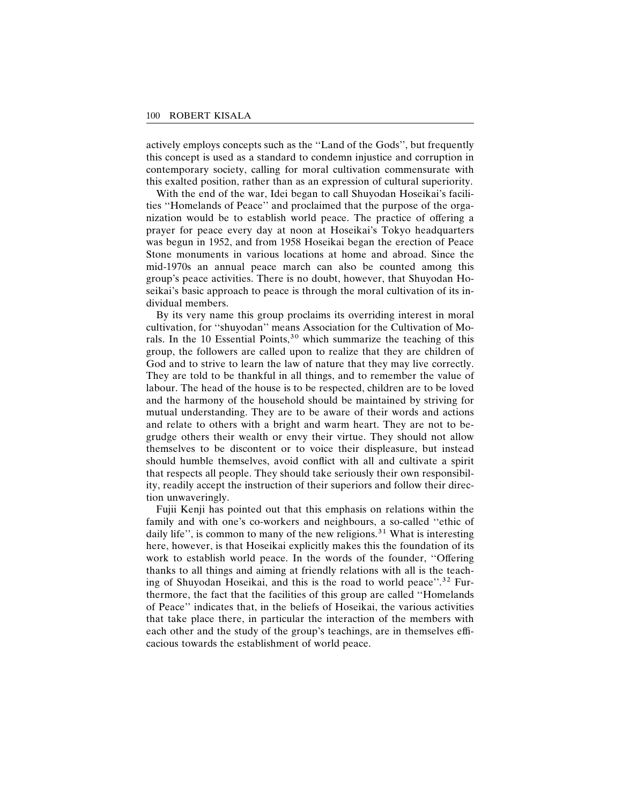actively employs concepts such as the ''Land of the Gods'', but frequently this concept is used as a standard to condemn injustice and corruption in contemporary society, calling for moral cultivation commensurate with this exalted position, rather than as an expression of cultural superiority.

With the end of the war, Idei began to call Shuyodan Hoseikai's facilities ''Homelands of Peace'' and proclaimed that the purpose of the organization would be to establish world peace. The practice of offering a prayer for peace every day at noon at Hoseikai's Tokyo headquarters was begun in 1952, and from 1958 Hoseikai began the erection of Peace Stone monuments in various locations at home and abroad. Since the mid-1970s an annual peace march can also be counted among this group's peace activities. There is no doubt, however, that Shuyodan Hoseikai's basic approach to peace is through the moral cultivation of its individual members.

By its very name this group proclaims its overriding interest in moral cultivation, for ''shuyodan'' means Association for the Cultivation of Morals. In the 10 Essential Points,  $30$  which summarize the teaching of this group, the followers are called upon to realize that they are children of God and to strive to learn the law of nature that they may live correctly. They are told to be thankful in all things, and to remember the value of labour. The head of the house is to be respected, children are to be loved and the harmony of the household should be maintained by striving for mutual understanding. They are to be aware of their words and actions and relate to others with a bright and warm heart. They are not to begrudge others their wealth or envy their virtue. They should not allow themselves to be discontent or to voice their displeasure, but instead should humble themselves, avoid conflict with all and cultivate a spirit that respects all people. They should take seriously their own responsibility, readily accept the instruction of their superiors and follow their direction unwaveringly.

Fujii Kenji has pointed out that this emphasis on relations within the family and with one's co-workers and neighbours, a so-called ''ethic of daily life", is common to many of the new religions. $31$  What is interesting here, however, is that Hoseikai explicitly makes this the foundation of its work to establish world peace. In the words of the founder, ''Offering thanks to all things and aiming at friendly relations with all is the teaching of Shuyodan Hoseikai, and this is the road to world peace''.32 Furthermore, the fact that the facilities of this group are called ''Homelands of Peace'' indicates that, in the beliefs of Hoseikai, the various activities that take place there, in particular the interaction of the members with each other and the study of the group's teachings, are in themselves efficacious towards the establishment of world peace.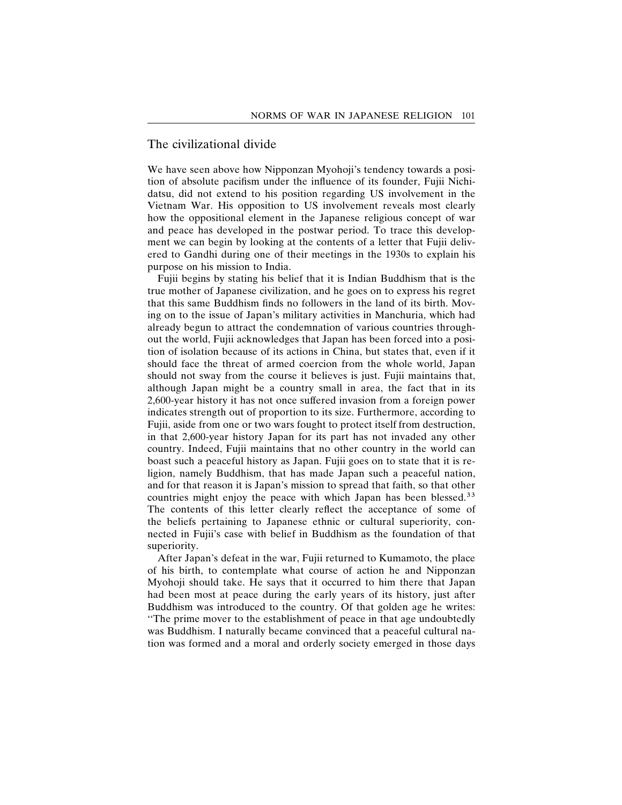# The civilizational divide

We have seen above how Nipponzan Myohoji's tendency towards a position of absolute pacifism under the influence of its founder, Fujii Nichidatsu, did not extend to his position regarding US involvement in the Vietnam War. His opposition to US involvement reveals most clearly how the oppositional element in the Japanese religious concept of war and peace has developed in the postwar period. To trace this development we can begin by looking at the contents of a letter that Fujii delivered to Gandhi during one of their meetings in the 1930s to explain his purpose on his mission to India.

Fujii begins by stating his belief that it is Indian Buddhism that is the true mother of Japanese civilization, and he goes on to express his regret that this same Buddhism finds no followers in the land of its birth. Moving on to the issue of Japan's military activities in Manchuria, which had already begun to attract the condemnation of various countries throughout the world, Fujii acknowledges that Japan has been forced into a position of isolation because of its actions in China, but states that, even if it should face the threat of armed coercion from the whole world, Japan should not sway from the course it believes is just. Fujii maintains that, although Japan might be a country small in area, the fact that in its 2,600-year history it has not once suffered invasion from a foreign power indicates strength out of proportion to its size. Furthermore, according to Fujii, aside from one or two wars fought to protect itself from destruction, in that 2,600-year history Japan for its part has not invaded any other country. Indeed, Fujii maintains that no other country in the world can boast such a peaceful history as Japan. Fujii goes on to state that it is religion, namely Buddhism, that has made Japan such a peaceful nation, and for that reason it is Japan's mission to spread that faith, so that other countries might enjoy the peace with which Japan has been blessed.<sup>33</sup> The contents of this letter clearly reflect the acceptance of some of the beliefs pertaining to Japanese ethnic or cultural superiority, connected in Fujii's case with belief in Buddhism as the foundation of that superiority.

After Japan's defeat in the war, Fujii returned to Kumamoto, the place of his birth, to contemplate what course of action he and Nipponzan Myohoji should take. He says that it occurred to him there that Japan had been most at peace during the early years of its history, just after Buddhism was introduced to the country. Of that golden age he writes: ''The prime mover to the establishment of peace in that age undoubtedly was Buddhism. I naturally became convinced that a peaceful cultural nation was formed and a moral and orderly society emerged in those days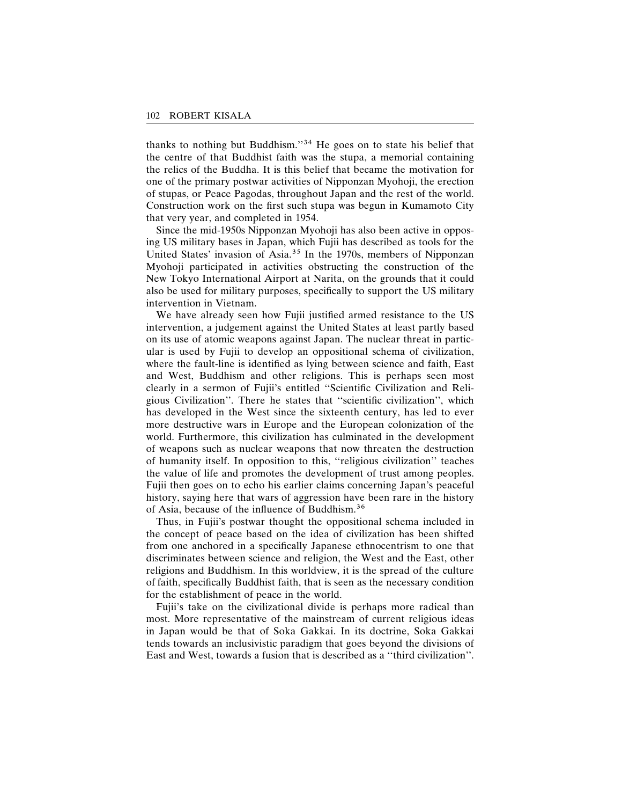thanks to nothing but Buddhism.''34 He goes on to state his belief that the centre of that Buddhist faith was the stupa, a memorial containing the relics of the Buddha. It is this belief that became the motivation for one of the primary postwar activities of Nipponzan Myohoji, the erection of stupas, or Peace Pagodas, throughout Japan and the rest of the world. Construction work on the first such stupa was begun in Kumamoto City that very year, and completed in 1954.

Since the mid-1950s Nipponzan Myohoji has also been active in opposing US military bases in Japan, which Fujii has described as tools for the United States' invasion of Asia.<sup>35</sup> In the 1970s, members of Nipponzan Myohoji participated in activities obstructing the construction of the New Tokyo International Airport at Narita, on the grounds that it could also be used for military purposes, specifically to support the US military intervention in Vietnam.

We have already seen how Fujii justified armed resistance to the US intervention, a judgement against the United States at least partly based on its use of atomic weapons against Japan. The nuclear threat in particular is used by Fujii to develop an oppositional schema of civilization, where the fault-line is identified as lying between science and faith, East and West, Buddhism and other religions. This is perhaps seen most clearly in a sermon of Fujii's entitled ''Scientific Civilization and Religious Civilization''. There he states that ''scientific civilization'', which has developed in the West since the sixteenth century, has led to ever more destructive wars in Europe and the European colonization of the world. Furthermore, this civilization has culminated in the development of weapons such as nuclear weapons that now threaten the destruction of humanity itself. In opposition to this, ''religious civilization'' teaches the value of life and promotes the development of trust among peoples. Fujii then goes on to echo his earlier claims concerning Japan's peaceful history, saying here that wars of aggression have been rare in the history of Asia, because of the influence of Buddhism.36

Thus, in Fujii's postwar thought the oppositional schema included in the concept of peace based on the idea of civilization has been shifted from one anchored in a specifically Japanese ethnocentrism to one that discriminates between science and religion, the West and the East, other religions and Buddhism. In this worldview, it is the spread of the culture of faith, specifically Buddhist faith, that is seen as the necessary condition for the establishment of peace in the world.

Fujii's take on the civilizational divide is perhaps more radical than most. More representative of the mainstream of current religious ideas in Japan would be that of Soka Gakkai. In its doctrine, Soka Gakkai tends towards an inclusivistic paradigm that goes beyond the divisions of East and West, towards a fusion that is described as a ''third civilization''.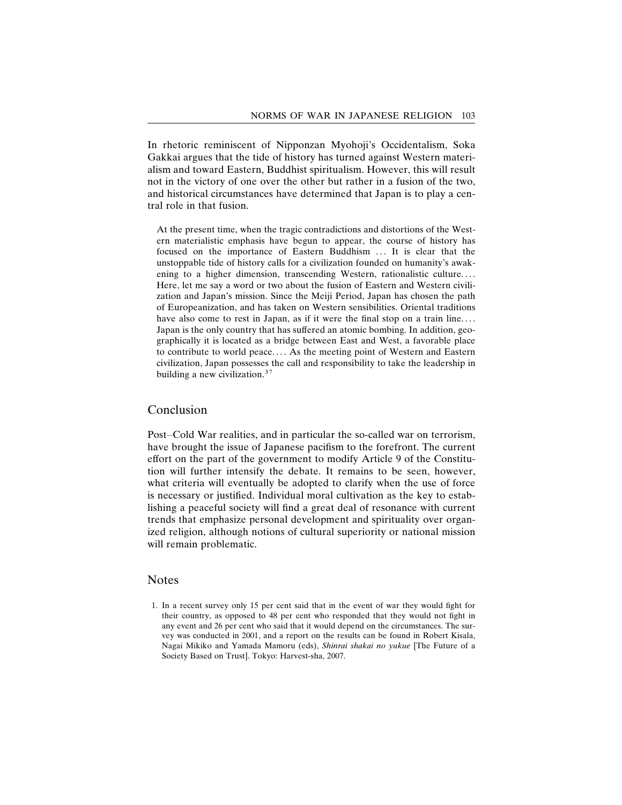In rhetoric reminiscent of Nipponzan Myohoji's Occidentalism, Soka Gakkai argues that the tide of history has turned against Western materialism and toward Eastern, Buddhist spiritualism. However, this will result not in the victory of one over the other but rather in a fusion of the two, and historical circumstances have determined that Japan is to play a central role in that fusion.

At the present time, when the tragic contradictions and distortions of the Western materialistic emphasis have begun to appear, the course of history has focused on the importance of Eastern Buddhism ... It is clear that the unstoppable tide of history calls for a civilization founded on humanity's awakening to a higher dimension, transcending Western, rationalistic culture.... Here, let me say a word or two about the fusion of Eastern and Western civilization and Japan's mission. Since the Meiji Period, Japan has chosen the path of Europeanization, and has taken on Western sensibilities. Oriental traditions have also come to rest in Japan, as if it were the final stop on a train line.... Japan is the only country that has suffered an atomic bombing. In addition, geographically it is located as a bridge between East and West, a favorable place to contribute to world peace.... As the meeting point of Western and Eastern civilization, Japan possesses the call and responsibility to take the leadership in building a new civilization.<sup>37</sup>

## Conclusion

Post–Cold War realities, and in particular the so-called war on terrorism, have brought the issue of Japanese pacifism to the forefront. The current effort on the part of the government to modify Article 9 of the Constitution will further intensify the debate. It remains to be seen, however, what criteria will eventually be adopted to clarify when the use of force is necessary or justified. Individual moral cultivation as the key to establishing a peaceful society will find a great deal of resonance with current trends that emphasize personal development and spirituality over organized religion, although notions of cultural superiority or national mission will remain problematic.

#### Notes

1. In a recent survey only 15 per cent said that in the event of war they would fight for their country, as opposed to 48 per cent who responded that they would not fight in any event and 26 per cent who said that it would depend on the circumstances. The survey was conducted in 2001, and a report on the results can be found in Robert Kisala, Nagai Mikiko and Yamada Mamoru (eds), Shinrai shakai no yukue [The Future of a Society Based on Trust]. Tokyo: Harvest-sha, 2007.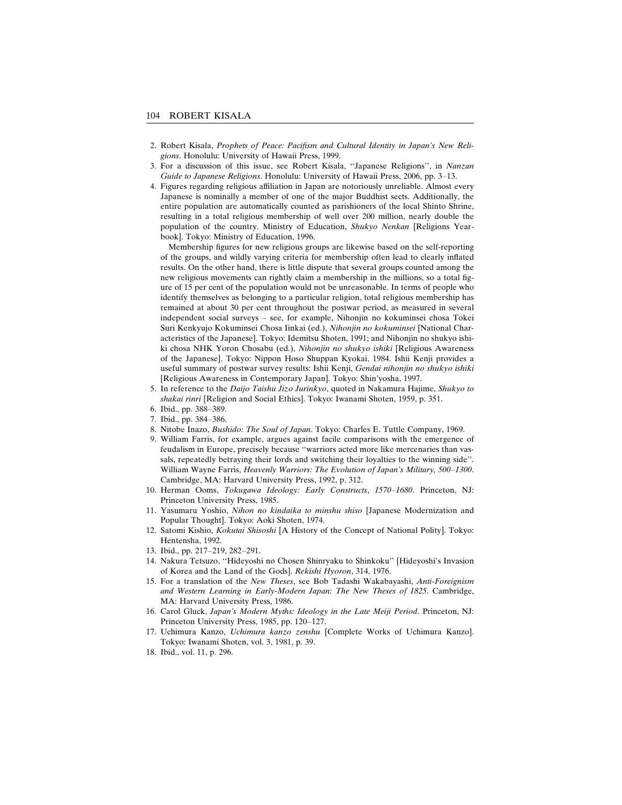- 2. Robert Kisala, Prophets of Peace: Pacifism and Cultural Identity in Japan's New Religions. Honolulu: University of Hawaii Press, 1999.
- 3. For a discussion of this issue, see Robert Kisala, ''Japanese Religions'', in Nanzan Guide to Japanese Religions. Honolulu: University of Hawaii Press, 2006, pp. 3–13.
- 4. Figures regarding religious affiliation in Japan are notoriously unreliable. Almost every Japanese is nominally a member of one of the major Buddhist sects. Additionally, the entire population are automatically counted as parishioners of the local Shinto Shrine, resulting in a total religious membership of well over 200 million, nearly double the population of the country. Ministry of Education, Shukyo Nenkan [Religions Yearbook]. Tokyo: Ministry of Education, 1996.

Membership figures for new religious groups are likewise based on the self-reporting of the groups, and wildly varying criteria for membership often lead to clearly inflated results. On the other hand, there is little dispute that several groups counted among the new religious movements can rightly claim a membership in the millions, so a total figure of 15 per cent of the population would not be unreasonable. In terms of people who identify themselves as belonging to a particular religion, total religious membership has remained at about 30 per cent throughout the postwar period, as measured in several independent social surveys – see, for example, Nihonjin no kokuminsei chosa Tokei Suri Kenkyujo Kokuminsei Chosa Iinkai (ed.), Nihonjin no kokuminsei [National Characteristics of the Japanese]. Tokyo: Idemitsu Shoten, 1991; and Nihonjin no shukyo ishiki chosa NHK Yoron Chosabu (ed.), Nihonjin no shukyo ishiki [Religious Awareness of the Japanese]. Tokyo: Nippon Hoso Shuppan Kyokai, 1984. Ishii Kenji provides a useful summary of postwar survey results: Ishii Kenji, Gendai nihonjin no shukyo ishiki [Religious Awareness in Contemporary Japan]. Tokyo: Shin'yosha, 1997.

- 5. In reference to the Daijo Taishu Jizo Jurinkyo, quoted in Nakamura Hajime, Shukyo to shakai rinri [Religion and Social Ethics]. Tokyo: Iwanami Shoten, 1959, p. 351.
- 6. Ibid., pp. 388–389.
- 7. Ibid., pp. 384–386.
- 8. Nitobe Inazo, Bushido: The Soul of Japan. Tokyo: Charles E. Tuttle Company, 1969.
- 9. William Farris, for example, argues against facile comparisons with the emergence of feudalism in Europe, precisely because ''warriors acted more like mercenaries than vassals, repeatedly betraying their lords and switching their loyalties to the winning side''. William Wayne Farris, Heavenly Warriors: The Evolution of Japan's Military, 500–1300. Cambridge, MA: Harvard University Press, 1992, p. 312.
- 10. Herman Ooms, Tokugawa Ideology: Early Constructs, 1570–1680. Princeton, NJ: Princeton University Press, 1985.
- 11. Yasumaru Yoshio, Nihon no kindaika to minshu shiso [Japanese Modernization and Popular Thought]. Tokyo: Aoki Shoten, 1974.
- 12. Satomi Kishio, Kokutai Shisoshi [A History of the Concept of National Polity]. Tokyo: Hentensha, 1992.
- 13. Ibid., pp. 217–219, 282–291.
- 14. Nakura Tetsuzo, ''Hideyoshi no Chosen Shinryaku to Shinkoku'' [Hideyoshi's Invasion of Korea and the Land of the Gods]. Rekishi Hyoron, 314, 1976.
- 15. For a translation of the New Theses, see Bob Tadashi Wakabayashi, Anti-Foreignism and Western Learning in Early-Modern Japan: The New Theses of 1825. Cambridge, MA: Harvard University Press, 1986.
- 16. Carol Gluck, Japan's Modern Myths: Ideology in the Late Meiji Period. Princeton, NJ: Princeton University Press, 1985, pp. 120–127.
- 17. Uchimura Kanzo, Uchimura kanzo zenshu [Complete Works of Uchimura Kanzo]. Tokyo: Iwanami Shoten, vol. 3, 1981, p. 39.
- 18. Ibid., vol. 11, p. 296.